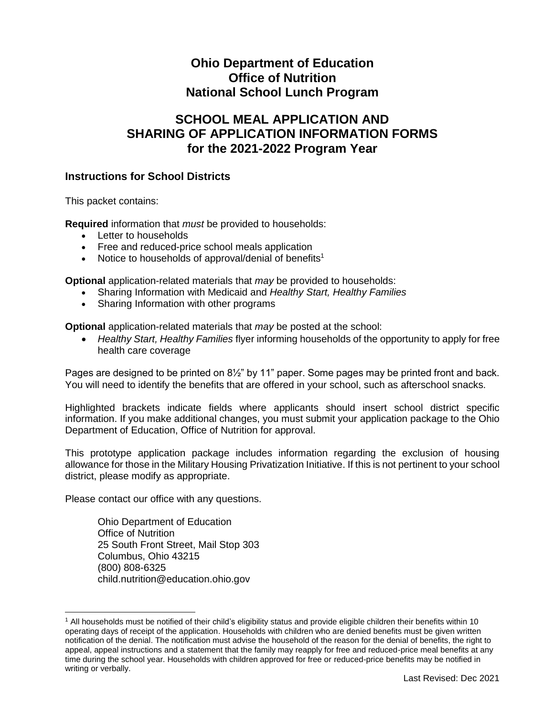# **Ohio Department of Education Office of Nutrition National School Lunch Program**

# **SCHOOL MEAL APPLICATION AND SHARING OF APPLICATION INFORMATION FORMS for the 2021-2022 Program Year**

### **Instructions for School Districts**

This packet contains:

**Required** information that *must* be provided to households:

- Letter to households
- Free and reduced-price school meals application
- Notice to households of approval/denial of benefits<sup>1</sup>

**Optional** application-related materials that *may* be provided to households:

- Sharing Information with Medicaid and *Healthy Start, Healthy Families*
- Sharing Information with other programs

**Optional** application-related materials that *may* be posted at the school:

 *Healthy Start, Healthy Families* flyer informing households of the opportunity to apply for free health care coverage

Pages are designed to be printed on 8½" by 11" paper. Some pages may be printed front and back. You will need to identify the benefits that are offered in your school, such as afterschool snacks.

Highlighted brackets indicate fields where applicants should insert school district specific information. If you make additional changes, you must submit your application package to the Ohio Department of Education, Office of Nutrition for approval.

This prototype application package includes information regarding the exclusion of housing allowance for those in the Military Housing Privatization Initiative. If this is not pertinent to your school district, please modify as appropriate.

Please contact our office with any questions.

 $\overline{a}$ 

Ohio Department of Education Office of Nutrition 25 South Front Street, Mail Stop 303 Columbus, Ohio 43215 (800) 808-6325 child.nutrition@education.ohio.gov

<sup>1</sup> All households must be notified of their child's eligibility status and provide eligible children their benefits within 10 operating days of receipt of the application. Households with children who are denied benefits must be given written notification of the denial. The notification must advise the household of the reason for the denial of benefits, the right to appeal, appeal instructions and a statement that the family may reapply for free and reduced-price meal benefits at any time during the school year. Households with children approved for free or reduced-price benefits may be notified in writing or verbally.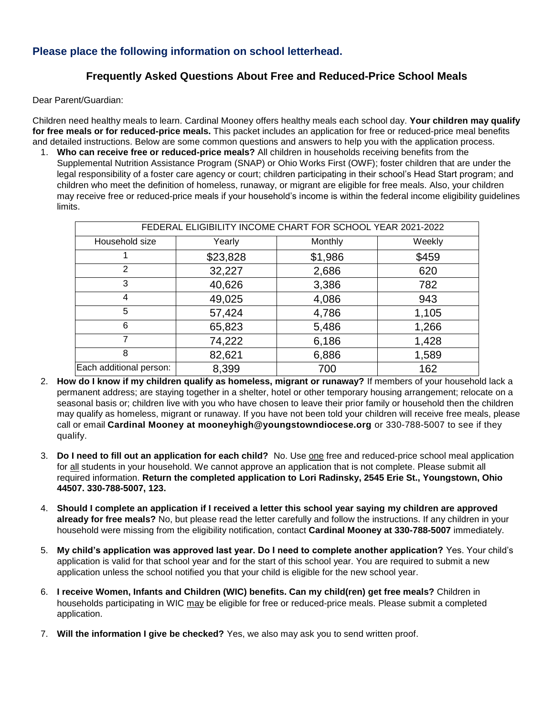### **Please place the following information on school letterhead.**

### **Frequently Asked Questions About Free and Reduced-Price School Meals**

Dear Parent/Guardian:

Children need healthy meals to learn. Cardinal Mooney offers healthy meals each school day. **Your children may qualify for free meals or for reduced-price meals.** This packet includes an application for free or reduced-price meal benefits and detailed instructions. Below are some common questions and answers to help you with the application process.

1. **Who can receive free or reduced-price meals?** All children in households receiving benefits from the Supplemental Nutrition Assistance Program (SNAP) or Ohio Works First (OWF); foster children that are under the legal responsibility of a foster care agency or court; children participating in their school's Head Start program; and children who meet the definition of homeless, runaway, or migrant are eligible for free meals. Also, your children may receive free or reduced-price meals if your household's income is within the federal income eligibility guidelines limits.

| FEDERAL ELIGIBILITY INCOME CHART FOR SCHOOL YEAR 2021-2022 |          |         |        |  |  |  |  |
|------------------------------------------------------------|----------|---------|--------|--|--|--|--|
| Household size                                             | Yearly   | Monthly | Weekly |  |  |  |  |
|                                                            | \$23,828 | \$1,986 | \$459  |  |  |  |  |
| 2                                                          | 32,227   | 2,686   | 620    |  |  |  |  |
| 3                                                          | 40,626   | 3,386   | 782    |  |  |  |  |
| 4                                                          | 49,025   | 4,086   | 943    |  |  |  |  |
| 5                                                          | 57,424   | 4,786   | 1,105  |  |  |  |  |
| 6                                                          | 65,823   | 5,486   | 1,266  |  |  |  |  |
|                                                            | 74,222   | 6,186   | 1,428  |  |  |  |  |
| 8                                                          | 82,621   | 6,886   | 1,589  |  |  |  |  |
| Each additional person:                                    | 8,399    | 700     | 162    |  |  |  |  |

- 2. **How do I know if my children qualify as homeless, migrant or runaway?** If members of your household lack a permanent address; are staying together in a shelter, hotel or other temporary housing arrangement; relocate on a seasonal basis or; children live with you who have chosen to leave their prior family or household then the children may qualify as homeless, migrant or runaway. If you have not been told your children will receive free meals, please call or email **Cardinal Mooney at mooneyhigh@youngstowndiocese.org** or 330-788-5007 to see if they qualify.
- 3. **Do I need to fill out an application for each child?** No. Use one free and reduced-price school meal application for all students in your household. We cannot approve an application that is not complete. Please submit all required information. **Return the completed application to Lori Radinsky, 2545 Erie St., Youngstown, Ohio 44507. 330-788-5007, 123.**
- 4. **Should I complete an application if I received a letter this school year saying my children are approved already for free meals?** No, but please read the letter carefully and follow the instructions. If any children in your household were missing from the eligibility notification, contact **Cardinal Mooney at 330-788-5007** immediately.
- 5. **My child's application was approved last year. Do I need to complete another application?** Yes. Your child's application is valid for that school year and for the start of this school year. You are required to submit a new application unless the school notified you that your child is eligible for the new school year.
- 6. **I receive Women, Infants and Children (WIC) benefits. Can my child(ren) get free meals?** Children in households participating in WIC may be eligible for free or reduced-price meals. Please submit a completed application.
- 7. **Will the information I give be checked?** Yes, we also may ask you to send written proof.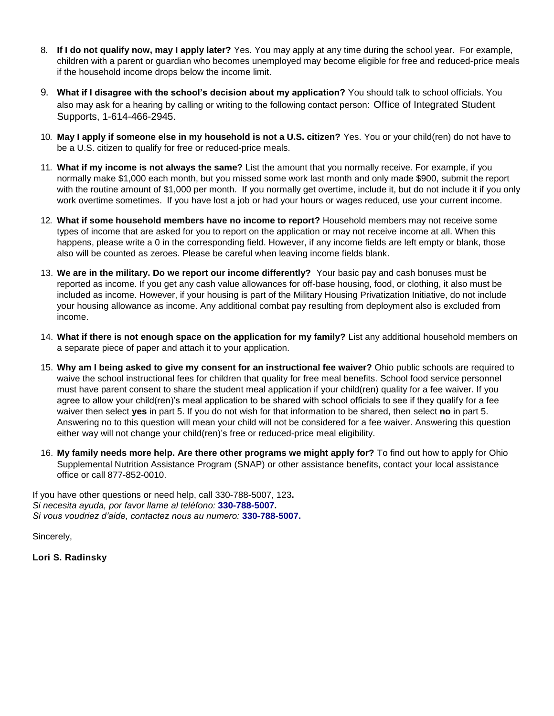- 8. **If I do not qualify now, may I apply later?** Yes. You may apply at any time during the school year. For example, children with a parent or guardian who becomes unemployed may become eligible for free and reduced-price meals if the household income drops below the income limit.
- 9. **What if I disagree with the school's decision about my application?** You should talk to school officials. You also may ask for a hearing by calling or writing to the following contact person: Office of Integrated Student Supports, 1-614-466-2945.
- 10. **May I apply if someone else in my household is not a U.S. citizen?** Yes. You or your child(ren) do not have to be a U.S. citizen to qualify for free or reduced-price meals.
- 11. **What if my income is not always the same?** List the amount that you normally receive. For example, if you normally make \$1,000 each month, but you missed some work last month and only made \$900, submit the report with the routine amount of \$1,000 per month. If you normally get overtime, include it, but do not include it if you only work overtime sometimes. If you have lost a job or had your hours or wages reduced, use your current income.
- 12. **What if some household members have no income to report?** Household members may not receive some types of income that are asked for you to report on the application or may not receive income at all. When this happens, please write a 0 in the corresponding field. However, if any income fields are left empty or blank, those also will be counted as zeroes. Please be careful when leaving income fields blank.
- 13. **We are in the military. Do we report our income differently?** Your basic pay and cash bonuses must be reported as income. If you get any cash value allowances for off-base housing, food, or clothing, it also must be included as income. However, if your housing is part of the Military Housing Privatization Initiative, do not include your housing allowance as income. Any additional combat pay resulting from deployment also is excluded from income.
- 14. **What if there is not enough space on the application for my family?** List any additional household members on a separate piece of paper and attach it to your application.
- 15. **Why am I being asked to give my consent for an instructional fee waiver?** Ohio public schools are required to waive the school instructional fees for children that quality for free meal benefits. School food service personnel must have parent consent to share the student meal application if your child(ren) quality for a fee waiver. If you agree to allow your child(ren)'s meal application to be shared with school officials to see if they qualify for a fee waiver then select **yes** in part 5. If you do not wish for that information to be shared, then select **no** in part 5. Answering no to this question will mean your child will not be considered for a fee waiver. Answering this question either way will not change your child(ren)'s free or reduced-price meal eligibility.
- 16. **My family needs more help. Are there other programs we might apply for?** To find out how to apply for Ohio Supplemental Nutrition Assistance Program (SNAP) or other assistance benefits, contact your local assistance office or call 877-852-0010.

If you have other questions or need help, call 330-788-5007, 123**.** *Si necesita ayuda, por favor llame al teléfono:* **330-788-5007.** *Si vous voudriez d'aide, contactez nous au numero:* **330-788-5007.**

Sincerely,

**Lori S. Radinsky**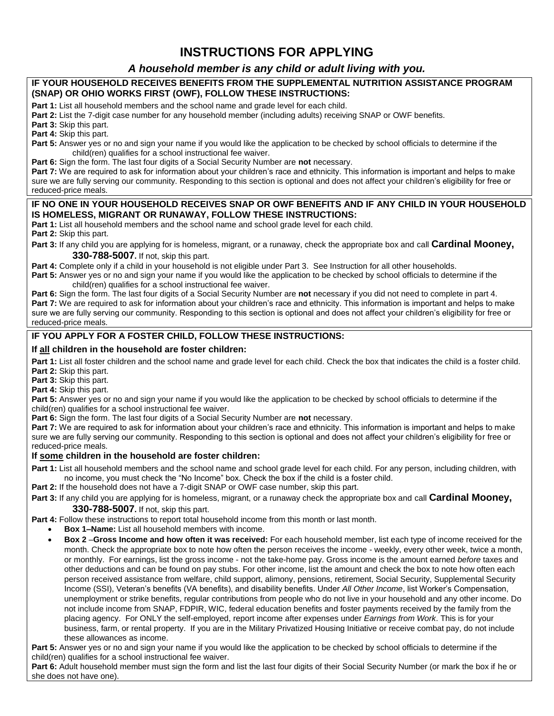# **INSTRUCTIONS FOR APPLYING**

### *A household member is any child or adult living with you.*

### **IF YOUR HOUSEHOLD RECEIVES BENEFITS FROM THE SUPPLEMENTAL NUTRITION ASSISTANCE PROGRAM (SNAP) OR OHIO WORKS FIRST (OWF), FOLLOW THESE INSTRUCTIONS:**

**Part 1:** List all household members and the school name and grade level for each child.

**Part 2:** List the 7-digit case number for any household member (including adults) receiving SNAP or OWF benefits.

**Part 3:** Skip this part.

**Part 4:** Skip this part.

**Part 5:** Answer yes or no and sign your name if you would like the application to be checked by school officials to determine if the child(ren) qualifies for a school instructional fee waiver.

**Part 6:** Sign the form. The last four digits of a Social Security Number are **not** necessary.

**Part 7:** We are required to ask for information about your children's race and ethnicity. This information is important and helps to make sure we are fully serving our community. Responding to this section is optional and does not affect your children's eligibility for free or reduced-price meals.

### **IF NO ONE IN YOUR HOUSEHOLD RECEIVES SNAP OR OWF BENEFITS AND IF ANY CHILD IN YOUR HOUSEHOLD IS HOMELESS, MIGRANT OR RUNAWAY, FOLLOW THESE INSTRUCTIONS:**

**Part 1:** List all household members and the school name and school grade level for each child.

**Part 2:** Skip this part.

**Part 3:** If any child you are applying for is homeless, migrant, or a runaway, check the appropriate box and call **Cardinal Mooney, 330-788-5007.** If not, skip this part.

Part 4: Complete only if a child in your household is not eligible under Part 3. See Instruction for all other households.

**Part 5:** Answer yes or no and sign your name if you would like the application to be checked by school officials to determine if the child(ren) qualifies for a school instructional fee waiver.

**Part 6:** Sign the form. The last four digits of a Social Security Number are **not** necessary if you did not need to complete in part 4. **Part 7:** We are required to ask for information about your children's race and ethnicity. This information is important and helps to make sure we are fully serving our community. Responding to this section is optional and does not affect your children's eligibility for free or reduced-price meals.

### **IF YOU APPLY FOR A FOSTER CHILD, FOLLOW THESE INSTRUCTIONS:**

### **If all children in the household are foster children:**

Part 1: List all foster children and the school name and grade level for each child. Check the box that indicates the child is a foster child. **Part 2:** Skip this part.

**Part 3:** Skip this part.

**Part 4:** Skip this part.

**Part 5:** Answer yes or no and sign your name if you would like the application to be checked by school officials to determine if the child(ren) qualifies for a school instructional fee waiver.

**Part 6:** Sign the form. The last four digits of a Social Security Number are **not** necessary.

**Part 7:** We are required to ask for information about your children's race and ethnicity. This information is important and helps to make sure we are fully serving our community. Responding to this section is optional and does not affect your children's eligibility for free or reduced-price meals.

### **If some children in the household are foster children:**

**Part 1:** List all household members and the school name and school grade level for each child. For any person, including children, with no income, you must check the "No Income" box. Check the box if the child is a foster child.

**Part 2:** If the household does not have a 7-digit SNAP or OWF case number, skip this part.

**Part 3:** If any child you are applying for is homeless, migrant, or a runaway check the appropriate box and call **Cardinal Mooney, 330-788-5007.** If not, skip this part.

Part 4: Follow these instructions to report total household income from this month or last month.

**Box 1–Name:** List all household members with income.

 **Box 2** –**Gross Income and how often it was received:** For each household member, list each type of income received for the month. Check the appropriate box to note how often the person receives the income - weekly, every other week, twice a month, or monthly. For earnings, list the gross income - not the take-home pay. Gross income is the amount earned *before* taxes and other deductions and can be found on pay stubs. For other income, list the amount and check the box to note how often each person received assistance from welfare, child support, alimony, pensions, retirement, Social Security, Supplemental Security Income (SSI), Veteran's benefits (VA benefits), and disability benefits. Under *All Other Income*, list Worker's Compensation, unemployment or strike benefits, regular contributions from people who do not live in your household and any other income. Do not include income from SNAP, FDPIR, WIC, federal education benefits and foster payments received by the family from the placing agency. For ONLY the self-employed, report income after expenses under *Earnings from Work*. This is for your business, farm, or rental property. If you are in the Military Privatized Housing Initiative or receive combat pay, do not include these allowances as income.

**Part 5:** Answer yes or no and sign your name if you would like the application to be checked by school officials to determine if the child(ren) qualifies for a school instructional fee waiver.

**Part 6:** Adult household member must sign the form and list the last four digits of their Social Security Number (or mark the box if he or she does not have one).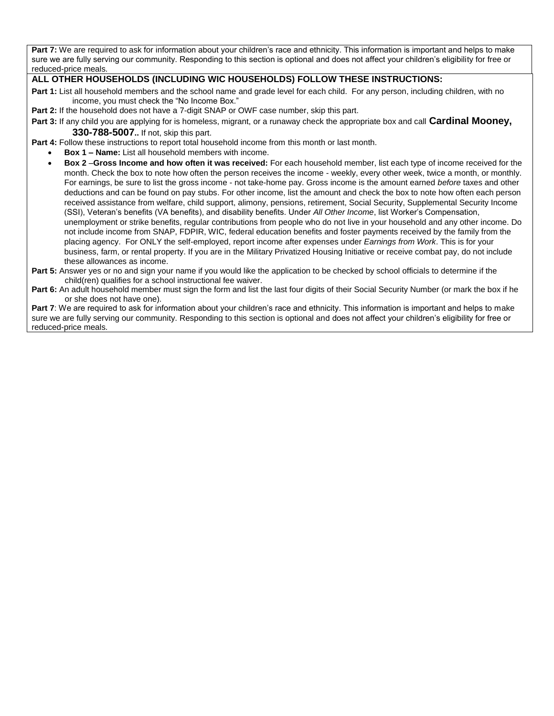Part 7: We are required to ask for information about your children's race and ethnicity. This information is important and helps to make sure we are fully serving our community. Responding to this section is optional and does not affect your children's eligibility for free or reduced-price meals.

### **ALL OTHER HOUSEHOLDS (INCLUDING WIC HOUSEHOLDS) FOLLOW THESE INSTRUCTIONS:**

**Part 1:** List all household members and the school name and grade level for each child. For any person, including children, with no income, you must check the "No Income Box."

**Part 2:** If the household does not have a 7-digit SNAP or OWF case number, skip this part.

- **Part 3:** If any child you are applying for is homeless, migrant, or a runaway check the appropriate box and call **Cardinal Mooney, 330-788-5007..** If not, skip this part.
- **Part 4:** Follow these instructions to report total household income from this month or last month.
	- **Box 1 – Name:** List all household members with income.
	- **Box 2** –**Gross Income and how often it was received:** For each household member, list each type of income received for the month. Check the box to note how often the person receives the income - weekly, every other week, twice a month, or monthly. For earnings, be sure to list the gross income - not take-home pay. Gross income is the amount earned *before* taxes and other deductions and can be found on pay stubs. For other income, list the amount and check the box to note how often each person received assistance from welfare, child support, alimony, pensions, retirement, Social Security, Supplemental Security Income (SSI), Veteran's benefits (VA benefits), and disability benefits. Under *All Other Income*, list Worker's Compensation, unemployment or strike benefits, regular contributions from people who do not live in your household and any other income. Do not include income from SNAP, FDPIR, WIC, federal education benefits and foster payments received by the family from the placing agency. For ONLY the self-employed, report income after expenses under *Earnings from Work*. This is for your business, farm, or rental property. If you are in the Military Privatized Housing Initiative or receive combat pay, do not include these allowances as income.
- **Part 5:** Answer yes or no and sign your name if you would like the application to be checked by school officials to determine if the child(ren) qualifies for a school instructional fee waiver.
- **Part 6:** An adult household member must sign the form and list the last four digits of their Social Security Number (or mark the box if he or she does not have one).

**Part 7**: We are required to ask for information about your children's race and ethnicity. This information is important and helps to make sure we are fully serving our community. Responding to this section is optional and does not affect your children's eligibility for free or reduced-price meals.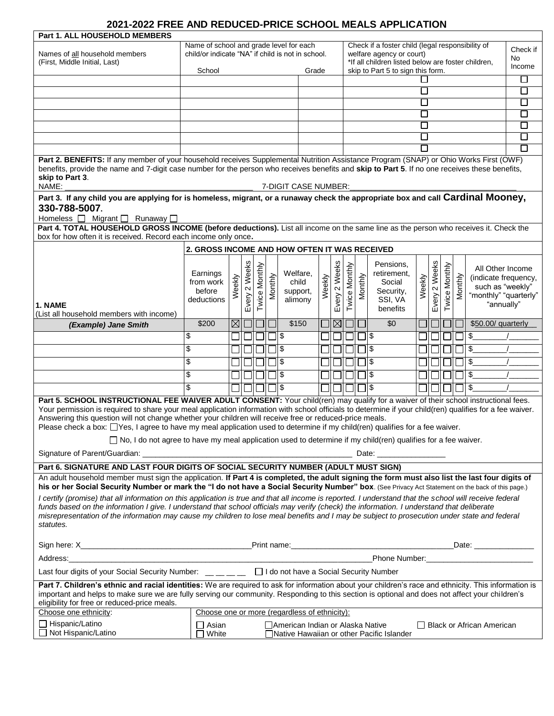# **2021-2022 FREE AND REDUCED-PRICE SCHOOL MEALS APPLICATION**

| Part 1. ALL HOUSEHOLD MEMBERS                                                                                                                                                                                                                                                                                                                                                                                                                                                                                                              |                                                                                                                 |             |               |               |                                                                                |                                                                               |        |             |               |         |     |                                   |              |         |               |         |                                          |        |
|--------------------------------------------------------------------------------------------------------------------------------------------------------------------------------------------------------------------------------------------------------------------------------------------------------------------------------------------------------------------------------------------------------------------------------------------------------------------------------------------------------------------------------------------|-----------------------------------------------------------------------------------------------------------------|-------------|---------------|---------------|--------------------------------------------------------------------------------|-------------------------------------------------------------------------------|--------|-------------|---------------|---------|-----|-----------------------------------|--------------|---------|---------------|---------|------------------------------------------|--------|
|                                                                                                                                                                                                                                                                                                                                                                                                                                                                                                                                            | Name of school and grade level for each                                                                         |             |               |               | Check if a foster child (legal responsibility of                               |                                                                               |        |             |               |         |     | Check if                          |              |         |               |         |                                          |        |
| Names of all household members<br>(First, Middle Initial, Last)                                                                                                                                                                                                                                                                                                                                                                                                                                                                            | child/or indicate "NA" if child is not in school.                                                               |             |               |               | welfare agency or court)<br>*If all children listed below are foster children, |                                                                               |        |             |               |         |     | No                                |              |         |               |         |                                          |        |
|                                                                                                                                                                                                                                                                                                                                                                                                                                                                                                                                            | School                                                                                                          |             |               |               |                                                                                | Grade                                                                         |        |             |               |         |     | skip to Part 5 to sign this form. |              |         |               |         |                                          | Income |
|                                                                                                                                                                                                                                                                                                                                                                                                                                                                                                                                            |                                                                                                                 |             |               |               |                                                                                |                                                                               |        |             |               |         |     |                                   |              |         |               |         |                                          | $\Box$ |
|                                                                                                                                                                                                                                                                                                                                                                                                                                                                                                                                            |                                                                                                                 |             |               |               |                                                                                |                                                                               |        |             |               |         |     |                                   | $\Box$       |         |               |         |                                          | $\Box$ |
|                                                                                                                                                                                                                                                                                                                                                                                                                                                                                                                                            |                                                                                                                 |             |               |               |                                                                                |                                                                               |        |             |               |         |     |                                   | $\Box$       |         |               |         |                                          | $\Box$ |
|                                                                                                                                                                                                                                                                                                                                                                                                                                                                                                                                            |                                                                                                                 |             |               |               |                                                                                |                                                                               |        |             |               |         |     |                                   | $\mathsf{L}$ |         |               |         |                                          | $\Box$ |
|                                                                                                                                                                                                                                                                                                                                                                                                                                                                                                                                            |                                                                                                                 |             |               |               |                                                                                |                                                                               |        |             |               |         |     |                                   | $\Box$       |         |               |         |                                          | ப      |
|                                                                                                                                                                                                                                                                                                                                                                                                                                                                                                                                            |                                                                                                                 |             |               |               |                                                                                |                                                                               |        |             |               |         |     |                                   | $\mathbf{I}$ |         |               |         |                                          | П      |
|                                                                                                                                                                                                                                                                                                                                                                                                                                                                                                                                            |                                                                                                                 |             |               |               |                                                                                |                                                                               |        |             |               |         |     |                                   | П            |         |               |         |                                          | П      |
|                                                                                                                                                                                                                                                                                                                                                                                                                                                                                                                                            |                                                                                                                 |             |               |               |                                                                                |                                                                               |        |             |               |         |     |                                   |              |         |               |         |                                          |        |
| Part 2. BENEFITS: If any member of your household receives Supplemental Nutrition Assistance Program (SNAP) or Ohio Works First (OWF)<br>benefits, provide the name and 7-digit case number for the person who receives benefits and skip to Part 5. If no one receives these benefits,<br>skip to Part 3.                                                                                                                                                                                                                                 |                                                                                                                 |             |               |               |                                                                                |                                                                               |        |             |               |         |     |                                   |              |         |               |         |                                          |        |
| NAME:                                                                                                                                                                                                                                                                                                                                                                                                                                                                                                                                      |                                                                                                                 |             |               |               |                                                                                | 7-DIGIT CASE NUMBER:                                                          |        |             |               |         |     |                                   |              |         |               |         |                                          |        |
| Part 3. If any child you are applying for is homeless, migrant, or a runaway check the appropriate box and call Cardinal Mooney,<br>330-788-5007.                                                                                                                                                                                                                                                                                                                                                                                          |                                                                                                                 |             |               |               |                                                                                |                                                                               |        |             |               |         |     |                                   |              |         |               |         |                                          |        |
| Homeless   Migrant   Runaway                                                                                                                                                                                                                                                                                                                                                                                                                                                                                                               |                                                                                                                 |             |               |               |                                                                                |                                                                               |        |             |               |         |     |                                   |              |         |               |         |                                          |        |
| Part 4. TOTAL HOUSEHOLD GROSS INCOME (before deductions). List all income on the same line as the person who receives it. Check the<br>box for how often it is received. Record each income only once.                                                                                                                                                                                                                                                                                                                                     |                                                                                                                 |             |               |               |                                                                                |                                                                               |        |             |               |         |     |                                   |              |         |               |         |                                          |        |
|                                                                                                                                                                                                                                                                                                                                                                                                                                                                                                                                            | 2. GROSS INCOME AND HOW OFTEN IT WAS RECEIVED                                                                   |             |               |               |                                                                                |                                                                               |        |             |               |         |     |                                   |              |         |               |         |                                          |        |
|                                                                                                                                                                                                                                                                                                                                                                                                                                                                                                                                            |                                                                                                                 |             |               |               |                                                                                |                                                                               |        |             |               |         |     | Pensions,                         |              |         |               |         |                                          |        |
|                                                                                                                                                                                                                                                                                                                                                                                                                                                                                                                                            | Earnings                                                                                                        |             | Every 2 Weeks | Twice Monthly |                                                                                | Welfare,                                                                      |        | 2 Weeks     | Twice Monthly |         |     | retirement.                       |              | 2 Weeks | Twice Monthly |         | All Other Income                         |        |
|                                                                                                                                                                                                                                                                                                                                                                                                                                                                                                                                            | from work                                                                                                       |             |               |               |                                                                                | child                                                                         |        |             |               |         |     | Social                            |              |         |               |         | (indicate frequency,<br>such as "weekly" |        |
|                                                                                                                                                                                                                                                                                                                                                                                                                                                                                                                                            | before                                                                                                          | Weekly      |               |               | Monthly                                                                        | support,                                                                      | Weekly |             |               | Monthly |     | Security,                         | Weekly       |         |               | Monthly | "monthly" "quarterly"                    |        |
| 1. NAME                                                                                                                                                                                                                                                                                                                                                                                                                                                                                                                                    | deductions                                                                                                      |             |               |               |                                                                                | alimony                                                                       |        | Every       |               |         |     | SSI, VA<br>benefits               |              | Every   |               |         | "annually"                               |        |
| (List all household members with income)                                                                                                                                                                                                                                                                                                                                                                                                                                                                                                   |                                                                                                                 |             |               |               |                                                                                |                                                                               |        |             |               |         |     |                                   |              |         |               |         |                                          |        |
| (Example) Jane Smith                                                                                                                                                                                                                                                                                                                                                                                                                                                                                                                       | \$200                                                                                                           | $\boxtimes$ | $\Box$        |               |                                                                                | \$150                                                                         |        | $\boxtimes$ |               |         |     | $\overline{50}$                   |              |         |               |         | \$50.00/ quarterly                       |        |
|                                                                                                                                                                                                                                                                                                                                                                                                                                                                                                                                            | \$                                                                                                              |             |               |               |                                                                                | \$                                                                            |        |             |               |         | Ι\$ |                                   |              |         |               |         | \$                                       |        |
|                                                                                                                                                                                                                                                                                                                                                                                                                                                                                                                                            | \$                                                                                                              |             |               |               |                                                                                | \$                                                                            |        |             |               |         | \$  |                                   |              |         |               |         | \$                                       |        |
|                                                                                                                                                                                                                                                                                                                                                                                                                                                                                                                                            | \$                                                                                                              |             |               |               |                                                                                | \$                                                                            |        |             |               |         | \$  |                                   |              |         |               |         | \$                                       |        |
|                                                                                                                                                                                                                                                                                                                                                                                                                                                                                                                                            | \$                                                                                                              |             |               |               |                                                                                | \$                                                                            |        |             |               |         | \$  |                                   |              |         |               |         | \$                                       |        |
|                                                                                                                                                                                                                                                                                                                                                                                                                                                                                                                                            |                                                                                                                 |             |               |               |                                                                                |                                                                               |        |             |               |         |     |                                   |              |         |               |         |                                          |        |
|                                                                                                                                                                                                                                                                                                                                                                                                                                                                                                                                            | \$                                                                                                              |             |               |               |                                                                                | \$                                                                            |        |             |               |         | l\$ |                                   |              |         |               |         | \$                                       |        |
| Part 5. SCHOOL INSTRUCTIONAL FEE WAIVER ADULT CONSENT: Your child(ren) may qualify for a waiver of their school instructional fees.<br>Your permission is required to share your meal application information with school officials to determine if your child(ren) qualifies for a fee waiver.<br>Answering this question will not change whether your children will receive free or reduced-price meals.<br>Please check a box: [Yes, I agree to have my meal application used to determine if my child(ren) qualifies for a fee waiver. |                                                                                                                 |             |               |               |                                                                                |                                                                               |        |             |               |         |     |                                   |              |         |               |         |                                          |        |
|                                                                                                                                                                                                                                                                                                                                                                                                                                                                                                                                            |                                                                                                                 |             |               |               |                                                                                |                                                                               |        |             |               |         |     |                                   |              |         |               |         |                                          |        |
|                                                                                                                                                                                                                                                                                                                                                                                                                                                                                                                                            | □ No, I do not agree to have my meal application used to determine if my child(ren) qualifies for a fee waiver. |             |               |               |                                                                                |                                                                               |        |             |               |         |     |                                   |              |         |               |         |                                          |        |
| Date: ____________________                                                                                                                                                                                                                                                                                                                                                                                                                                                                                                                 |                                                                                                                 |             |               |               |                                                                                |                                                                               |        |             |               |         |     |                                   |              |         |               |         |                                          |        |
| Part 6. SIGNATURE AND LAST FOUR DIGITS OF SOCIAL SECURITY NUMBER (ADULT MUST SIGN)                                                                                                                                                                                                                                                                                                                                                                                                                                                         |                                                                                                                 |             |               |               |                                                                                |                                                                               |        |             |               |         |     |                                   |              |         |               |         |                                          |        |
| An adult household member must sign the application. If Part 4 is completed, the adult signing the form must also list the last four digits of<br>his or her Social Security Number or mark the "I do not have a Social Security Number" box. (See Privacy Act Statement on the back of this page.)                                                                                                                                                                                                                                        |                                                                                                                 |             |               |               |                                                                                |                                                                               |        |             |               |         |     |                                   |              |         |               |         |                                          |        |
| I certify (promise) that all information on this application is true and that all income is reported. I understand that the school will receive federal<br>funds based on the information I give. I understand that school officials may verify (check) the information. I understand that deliberate<br>misrepresentation of the information may cause my children to lose meal benefits and I may be subject to prosecution under state and federal                                                                                      |                                                                                                                 |             |               |               |                                                                                |                                                                               |        |             |               |         |     |                                   |              |         |               |         |                                          |        |
| statutes.                                                                                                                                                                                                                                                                                                                                                                                                                                                                                                                                  |                                                                                                                 |             |               |               |                                                                                |                                                                               |        |             |               |         |     |                                   |              |         |               |         |                                          |        |
|                                                                                                                                                                                                                                                                                                                                                                                                                                                                                                                                            |                                                                                                                 |             |               |               |                                                                                |                                                                               |        |             |               |         |     |                                   |              |         |               |         |                                          |        |
|                                                                                                                                                                                                                                                                                                                                                                                                                                                                                                                                            |                                                                                                                 |             |               |               |                                                                                |                                                                               |        |             |               |         |     |                                   |              |         |               |         |                                          |        |
| Last four digits of your Social Security Number: __ _ _ _ _ _ D I do not have a Social Security Number                                                                                                                                                                                                                                                                                                                                                                                                                                     |                                                                                                                 |             |               |               |                                                                                |                                                                               |        |             |               |         |     |                                   |              |         |               |         |                                          |        |
| Part 7. Children's ethnic and racial identities: We are required to ask for information about your children's race and ethnicity. This information is<br>important and helps to make sure we are fully serving our community. Responding to this section is optional and does not affect your children's<br>eligibility for free or reduced-price meals.                                                                                                                                                                                   |                                                                                                                 |             |               |               |                                                                                |                                                                               |        |             |               |         |     |                                   |              |         |               |         |                                          |        |
| Choose one ethnicity:                                                                                                                                                                                                                                                                                                                                                                                                                                                                                                                      | Choose one or more (regardless of ethnicity):                                                                   |             |               |               |                                                                                |                                                                               |        |             |               |         |     |                                   |              |         |               |         |                                          |        |
| □ Hispanic/Latino<br>□ Not Hispanic/Latino                                                                                                                                                                                                                                                                                                                                                                                                                                                                                                 | $\Box$ Asian<br>White                                                                                           |             |               |               |                                                                                | American Indian or Alaska Native<br>Native Hawaiian or other Pacific Islander |        |             |               |         |     |                                   |              |         |               |         | $\Box$ Black or African American         |        |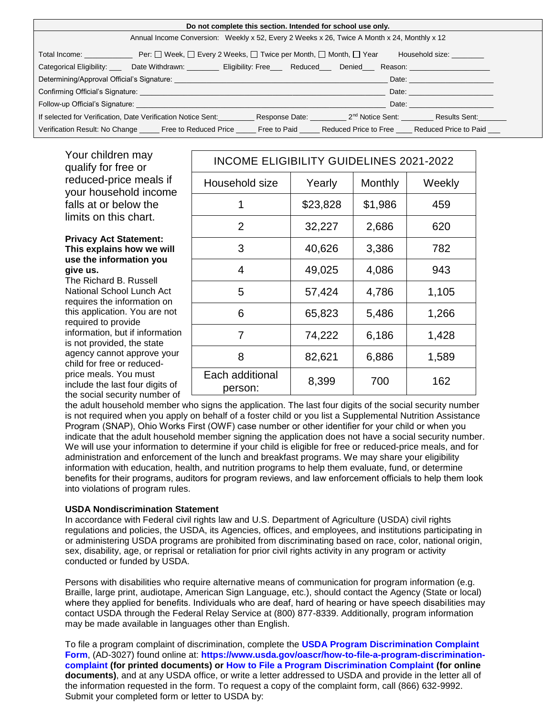| Do not complete this section. Intended for school use only.                                                                                                                                                                    |                                                                                                                                                                                                                                |  |  |                                                                                                                                                                                                                                |  |  |
|--------------------------------------------------------------------------------------------------------------------------------------------------------------------------------------------------------------------------------|--------------------------------------------------------------------------------------------------------------------------------------------------------------------------------------------------------------------------------|--|--|--------------------------------------------------------------------------------------------------------------------------------------------------------------------------------------------------------------------------------|--|--|
| Annual Income Conversion: Weekly x 52, Every 2 Weeks x 26, Twice A Month x 24, Monthly x 12                                                                                                                                    |                                                                                                                                                                                                                                |  |  |                                                                                                                                                                                                                                |  |  |
| Total Income: __________________ Per: □ Week, □ Every 2 Weeks, □ Twice per Month, □ Month, □ Year<br>Household size: Nousehold                                                                                                 |                                                                                                                                                                                                                                |  |  |                                                                                                                                                                                                                                |  |  |
|                                                                                                                                                                                                                                | Categorical Eligibility: ____ Date Withdrawn: _________ Eligibility: Free___ Reduced___ Denied___ Reason: _______________                                                                                                      |  |  |                                                                                                                                                                                                                                |  |  |
| Date: <u>with the same of the same</u>                                                                                                                                                                                         |                                                                                                                                                                                                                                |  |  |                                                                                                                                                                                                                                |  |  |
| Date: the contract of the contract of the contract of the contract of the contract of the contract of the contract of the contract of the contract of the contract of the contract of the contract of the contract of the cont |                                                                                                                                                                                                                                |  |  |                                                                                                                                                                                                                                |  |  |
|                                                                                                                                                                                                                                | Follow-up Official's Signature: The Contract of the Contract of the Contract of the Contract of the Contract of the Contract of the Contract of the Contract of the Contract of the Contract of the Contract of the Contract o |  |  | Date: the contract of the contract of the contract of the contract of the contract of the contract of the contract of the contract of the contract of the contract of the contract of the contract of the contract of the cont |  |  |
|                                                                                                                                                                                                                                | If selected for Verification, Date Verification Notice Sent:                                                                                                                                                                   |  |  | Response Date: 2 <sup>nd</sup> Notice Sent: Results Sent:                                                                                                                                                                      |  |  |
|                                                                                                                                                                                                                                | Verification Result: No Change ______ Free to Reduced Price ______ Free to Paid ______ Reduced Price to Pree _____ Reduced Price to Paid ___                                                                                   |  |  |                                                                                                                                                                                                                                |  |  |

Your children may qualify for free or reduced-price meals if your household income falls at or below the limits on this chart.

### **Privacy Act Statement: This explains how we will use the information you give us.**

The Richard B. Russell National School Lunch Act requires the information on this application. You are not required to provide information, but if information is not provided, the state agency cannot approve your child for free or reducedprice meals. You must include the last four digits of the social security number of

| INCOME ELIGIBILITY GUIDELINES 2021-2022 |          |         |        |  |  |  |
|-----------------------------------------|----------|---------|--------|--|--|--|
| Household size                          | Yearly   | Monthly | Weekly |  |  |  |
| 1                                       | \$23,828 | \$1,986 | 459    |  |  |  |
| $\overline{2}$                          | 32,227   | 2,686   | 620    |  |  |  |
| 3                                       | 40,626   | 3,386   | 782    |  |  |  |
| 4                                       | 49,025   | 4,086   | 943    |  |  |  |
| 5                                       | 57,424   | 4,786   | 1,105  |  |  |  |
| 6                                       | 65,823   | 5,486   | 1,266  |  |  |  |
| 7                                       | 74,222   | 6,186   | 1,428  |  |  |  |
| 8                                       | 82,621   | 6,886   | 1,589  |  |  |  |
| Each additional<br>person:              | 8,399    | 700     | 162    |  |  |  |

the adult household member who signs the application. The last four digits of the social security number is not required when you apply on behalf of a foster child or you list a Supplemental Nutrition Assistance Program (SNAP), Ohio Works First (OWF) case number or other identifier for your child or when you indicate that the adult household member signing the application does not have a social security number. We will use your information to determine if your child is eligible for free or reduced-price meals, and for administration and enforcement of the lunch and breakfast programs. We may share your eligibility information with education, health, and nutrition programs to help them evaluate, fund, or determine benefits for their programs, auditors for program reviews, and law enforcement officials to help them look into violations of program rules.

### **USDA Nondiscrimination Statement**

In accordance with Federal civil rights law and U.S. Department of Agriculture (USDA) civil rights regulations and policies, the USDA, its Agencies, offices, and employees, and institutions participating in or administering USDA programs are prohibited from discriminating based on race, color, national origin, sex, disability, age, or reprisal or retaliation for prior civil rights activity in any program or activity conducted or funded by USDA.

Persons with disabilities who require alternative means of communication for program information (e.g. Braille, large print, audiotape, American Sign Language, etc.), should contact the Agency (State or local) where they applied for benefits. Individuals who are deaf, hard of hearing or have speech disabilities may contact USDA through the Federal Relay Service at (800) 877-8339. Additionally, program information may be made available in languages other than English.

To file a program complaint of discrimination, complete the **[USDA Program Discrimination Complaint](https://gcc02.safelinks.protection.outlook.com/?url=https%3A%2F%2Fwww.usda.gov%2Fsites%2Fdefault%2Ffiles%2Fdocuments%2FUSDA-OASCR%2520P-Complaint-Form-0508-0002-508-11-28-17Fax2Mail.pdf&data=04%7C01%7CMisty.Davis%40education.ohio.gov%7Ce3210e3db0814bcc253e08d9b4c8e7d9%7C50f8fcc494d84f0784eb36ed57c7c8a2%7C0%7C0%7C637739597274438481%7CUnknown%7CTWFpbGZsb3d8eyJWIjoiMC4wLjAwMDAiLCJQIjoiV2luMzIiLCJBTiI6Ik1haWwiLCJXVCI6Mn0%3D%7C3000&sdata=%2FcWPojOOlgoGha0AjMiseGyo%2FZr0nQkGP8ZNgQceZqk%3D&reserved=0)  [Form](https://gcc02.safelinks.protection.outlook.com/?url=https%3A%2F%2Fwww.usda.gov%2Fsites%2Fdefault%2Ffiles%2Fdocuments%2FUSDA-OASCR%2520P-Complaint-Form-0508-0002-508-11-28-17Fax2Mail.pdf&data=04%7C01%7CMisty.Davis%40education.ohio.gov%7Ce3210e3db0814bcc253e08d9b4c8e7d9%7C50f8fcc494d84f0784eb36ed57c7c8a2%7C0%7C0%7C637739597274438481%7CUnknown%7CTWFpbGZsb3d8eyJWIjoiMC4wLjAwMDAiLCJQIjoiV2luMzIiLCJBTiI6Ik1haWwiLCJXVCI6Mn0%3D%7C3000&sdata=%2FcWPojOOlgoGha0AjMiseGyo%2FZr0nQkGP8ZNgQceZqk%3D&reserved=0)**, (AD-3027) found online at: **[https://www.usda.gov/oascr/how-to-file-a-program-discrimination](https://gcc02.safelinks.protection.outlook.com/?url=https%3A%2F%2Fwww.usda.gov%2Foascr%2Fhow-to-file-a-program-discrimination-complaint&data=04%7C01%7CMisty.Davis%40education.ohio.gov%7Ce3210e3db0814bcc253e08d9b4c8e7d9%7C50f8fcc494d84f0784eb36ed57c7c8a2%7C0%7C0%7C637739597274438481%7CUnknown%7CTWFpbGZsb3d8eyJWIjoiMC4wLjAwMDAiLCJQIjoiV2luMzIiLCJBTiI6Ik1haWwiLCJXVCI6Mn0%3D%7C3000&sdata=0D0kA7OoSd%2FQG2D39GXV%2FYvN%2FmU5HWmEqkBJ1Nwff4k%3D&reserved=0)[complaint](https://gcc02.safelinks.protection.outlook.com/?url=https%3A%2F%2Fwww.usda.gov%2Foascr%2Fhow-to-file-a-program-discrimination-complaint&data=04%7C01%7CMisty.Davis%40education.ohio.gov%7Ce3210e3db0814bcc253e08d9b4c8e7d9%7C50f8fcc494d84f0784eb36ed57c7c8a2%7C0%7C0%7C637739597274438481%7CUnknown%7CTWFpbGZsb3d8eyJWIjoiMC4wLjAwMDAiLCJQIjoiV2luMzIiLCJBTiI6Ik1haWwiLCJXVCI6Mn0%3D%7C3000&sdata=0D0kA7OoSd%2FQG2D39GXV%2FYvN%2FmU5HWmEqkBJ1Nwff4k%3D&reserved=0) (for printed documents) or [How to File a Program Discrimination Complaint](https://gcc02.safelinks.protection.outlook.com/?url=https%3A%2F%2Fwww.usda.gov%2Foascr%2Fhow-to-file-a-program-discrimination-complaint&data=04%7C01%7CMisty.Davis%40education.ohio.gov%7Ce3210e3db0814bcc253e08d9b4c8e7d9%7C50f8fcc494d84f0784eb36ed57c7c8a2%7C0%7C0%7C637739597274448432%7CUnknown%7CTWFpbGZsb3d8eyJWIjoiMC4wLjAwMDAiLCJQIjoiV2luMzIiLCJBTiI6Ik1haWwiLCJXVCI6Mn0%3D%7C3000&sdata=sZEU1vr1bvvp2Ev5jRuydlw3vp%2FvB6hdoc1xT22RUD0%3D&reserved=0) (for online documents)**, and at any USDA office, or write a letter addressed to USDA and provide in the letter all of the information requested in the form. To request a copy of the complaint form, call (866) 632-9992. Submit your completed form or letter to USDA by: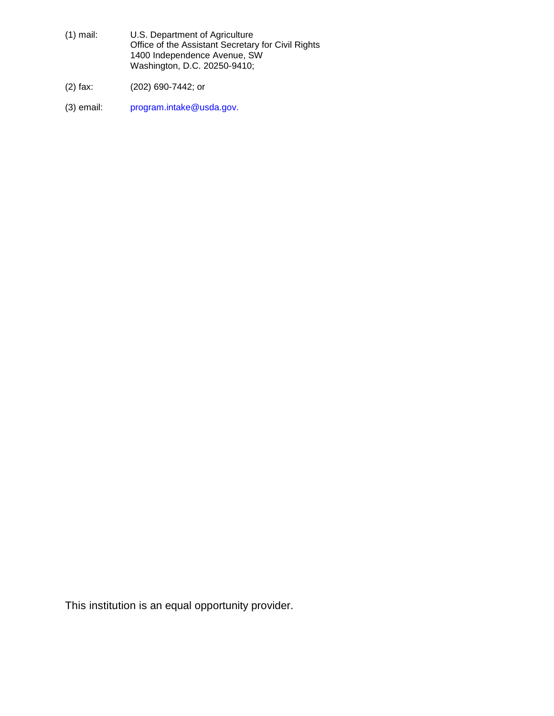- (1) mail: U.S. Department of Agriculture Office of the Assistant Secretary for Civil Rights 1400 Independence Avenue, SW Washington, D.C. 20250-9410;
- (2) fax: (202) 690-7442; or
- (3) email: program.intake@usda.gov.

This institution is an equal opportunity provider.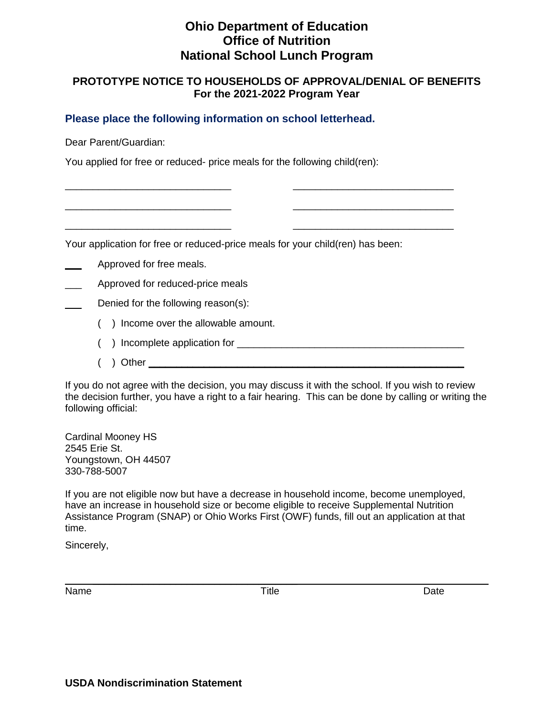# **Ohio Department of Education Office of Nutrition National School Lunch Program**

### **PROTOTYPE NOTICE TO HOUSEHOLDS OF APPROVAL/DENIAL OF BENEFITS For the 2021-2022 Program Year**

### **Please place the following information on school letterhead.**

Dear Parent/Guardian:

You applied for free or reduced- price meals for the following child(ren):

Your application for free or reduced-price meals for your child(ren) has been:

\_\_\_\_\_\_\_\_\_\_\_\_\_\_\_\_\_\_\_\_\_\_\_\_\_\_\_\_\_\_ \_\_\_\_\_\_\_\_\_\_\_\_\_\_\_\_\_\_\_\_\_\_\_\_\_\_\_\_\_

\_\_\_\_\_\_\_\_\_\_\_\_\_\_\_\_\_\_\_\_\_\_\_\_\_\_\_\_\_\_ \_\_\_\_\_\_\_\_\_\_\_\_\_\_\_\_\_\_\_\_\_\_\_\_\_\_\_\_\_

\_\_\_\_\_\_\_\_\_\_\_\_\_\_\_\_\_\_\_\_\_\_\_\_\_\_\_\_\_\_ \_\_\_\_\_\_\_\_\_\_\_\_\_\_\_\_\_\_\_\_\_\_\_\_\_\_\_\_\_

Approved for free meals.

\_\_\_ Approved for reduced-price meals

- Denied for the following reason(s):
	- ( ) Income over the allowable amount.
	- ( ) Incomplete application for \_\_\_\_\_\_\_\_\_\_\_\_\_\_\_\_\_\_\_\_\_\_\_\_\_\_\_\_\_\_\_\_\_\_\_\_\_\_\_\_\_
	- ( ) Other **\_\_\_\_\_\_\_\_\_\_\_\_\_\_\_\_\_\_\_\_\_\_\_\_\_\_\_\_\_\_\_\_\_\_\_\_\_\_\_\_\_\_\_\_\_\_\_\_\_\_\_\_\_\_\_\_\_**

If you do not agree with the decision, you may discuss it with the school. If you wish to review the decision further, you have a right to a fair hearing. This can be done by calling or writing the following official:

Cardinal Mooney HS 2545 Erie St. Youngstown, OH 44507 330-788-5007

If you are not eligible now but have a decrease in household income, become unemployed, have an increase in household size or become eligible to receive Supplemental Nutrition Assistance Program (SNAP) or Ohio Works First (OWF) funds, fill out an application at that time.

Sincerely,

Name Date Date Controller and Title Controller and Date Date

\_\_\_\_\_\_\_\_\_\_\_\_\_\_\_\_\_\_\_\_\_\_\_\_\_\_\_\_\_\_\_\_\_\_\_\_\_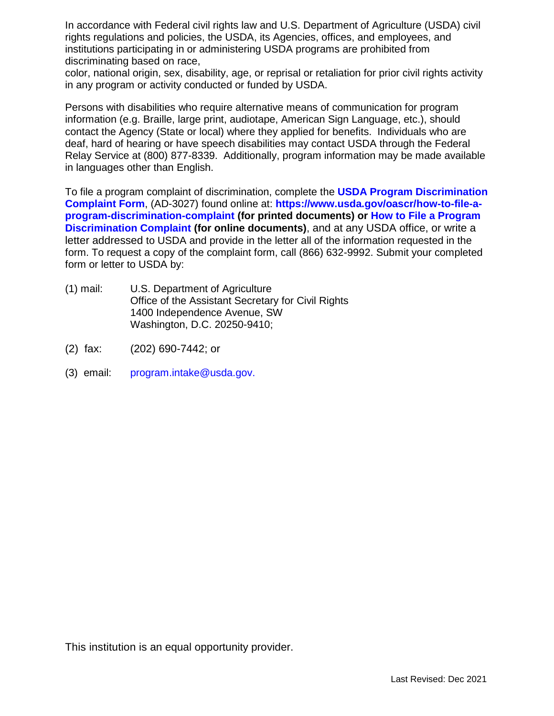In accordance with Federal civil rights law and U.S. Department of Agriculture (USDA) civil rights regulations and policies, the USDA, its Agencies, offices, and employees, and institutions participating in or administering USDA programs are prohibited from discriminating based on race,

color, national origin, sex, disability, age, or reprisal or retaliation for prior civil rights activity in any program or activity conducted or funded by USDA.

Persons with disabilities who require alternative means of communication for program information (e.g. Braille, large print, audiotape, American Sign Language, etc.), should contact the Agency (State or local) where they applied for benefits. Individuals who are deaf, hard of hearing or have speech disabilities may contact USDA through the Federal Relay Service at (800) 877-8339. Additionally, program information may be made available in languages other than English.

To file a program complaint of discrimination, complete the **[USDA Program Discrimination](https://gcc02.safelinks.protection.outlook.com/?url=https%3A%2F%2Fwww.usda.gov%2Fsites%2Fdefault%2Ffiles%2Fdocuments%2FUSDA-OASCR%2520P-Complaint-Form-0508-0002-508-11-28-17Fax2Mail.pdf&data=04%7C01%7CMisty.Davis%40education.ohio.gov%7Ce3210e3db0814bcc253e08d9b4c8e7d9%7C50f8fcc494d84f0784eb36ed57c7c8a2%7C0%7C0%7C637739597274438481%7CUnknown%7CTWFpbGZsb3d8eyJWIjoiMC4wLjAwMDAiLCJQIjoiV2luMzIiLCJBTiI6Ik1haWwiLCJXVCI6Mn0%3D%7C3000&sdata=%2FcWPojOOlgoGha0AjMiseGyo%2FZr0nQkGP8ZNgQceZqk%3D&reserved=0)  [Complaint Form](https://gcc02.safelinks.protection.outlook.com/?url=https%3A%2F%2Fwww.usda.gov%2Fsites%2Fdefault%2Ffiles%2Fdocuments%2FUSDA-OASCR%2520P-Complaint-Form-0508-0002-508-11-28-17Fax2Mail.pdf&data=04%7C01%7CMisty.Davis%40education.ohio.gov%7Ce3210e3db0814bcc253e08d9b4c8e7d9%7C50f8fcc494d84f0784eb36ed57c7c8a2%7C0%7C0%7C637739597274438481%7CUnknown%7CTWFpbGZsb3d8eyJWIjoiMC4wLjAwMDAiLCJQIjoiV2luMzIiLCJBTiI6Ik1haWwiLCJXVCI6Mn0%3D%7C3000&sdata=%2FcWPojOOlgoGha0AjMiseGyo%2FZr0nQkGP8ZNgQceZqk%3D&reserved=0)**, (AD-3027) found online at: **[https://www.usda.gov/oascr/how-to-file-a](https://gcc02.safelinks.protection.outlook.com/?url=https%3A%2F%2Fwww.usda.gov%2Foascr%2Fhow-to-file-a-program-discrimination-complaint&data=04%7C01%7CMisty.Davis%40education.ohio.gov%7Ce3210e3db0814bcc253e08d9b4c8e7d9%7C50f8fcc494d84f0784eb36ed57c7c8a2%7C0%7C0%7C637739597274438481%7CUnknown%7CTWFpbGZsb3d8eyJWIjoiMC4wLjAwMDAiLCJQIjoiV2luMzIiLCJBTiI6Ik1haWwiLCJXVCI6Mn0%3D%7C3000&sdata=0D0kA7OoSd%2FQG2D39GXV%2FYvN%2FmU5HWmEqkBJ1Nwff4k%3D&reserved=0)[program-discrimination-complaint](https://gcc02.safelinks.protection.outlook.com/?url=https%3A%2F%2Fwww.usda.gov%2Foascr%2Fhow-to-file-a-program-discrimination-complaint&data=04%7C01%7CMisty.Davis%40education.ohio.gov%7Ce3210e3db0814bcc253e08d9b4c8e7d9%7C50f8fcc494d84f0784eb36ed57c7c8a2%7C0%7C0%7C637739597274438481%7CUnknown%7CTWFpbGZsb3d8eyJWIjoiMC4wLjAwMDAiLCJQIjoiV2luMzIiLCJBTiI6Ik1haWwiLCJXVCI6Mn0%3D%7C3000&sdata=0D0kA7OoSd%2FQG2D39GXV%2FYvN%2FmU5HWmEqkBJ1Nwff4k%3D&reserved=0) (for printed documents) or [How to File a Program](https://gcc02.safelinks.protection.outlook.com/?url=https%3A%2F%2Fwww.usda.gov%2Foascr%2Fhow-to-file-a-program-discrimination-complaint&data=04%7C01%7CMisty.Davis%40education.ohio.gov%7Ce3210e3db0814bcc253e08d9b4c8e7d9%7C50f8fcc494d84f0784eb36ed57c7c8a2%7C0%7C0%7C637739597274448432%7CUnknown%7CTWFpbGZsb3d8eyJWIjoiMC4wLjAwMDAiLCJQIjoiV2luMzIiLCJBTiI6Ik1haWwiLCJXVCI6Mn0%3D%7C3000&sdata=sZEU1vr1bvvp2Ev5jRuydlw3vp%2FvB6hdoc1xT22RUD0%3D&reserved=0)  [Discrimination Complaint](https://gcc02.safelinks.protection.outlook.com/?url=https%3A%2F%2Fwww.usda.gov%2Foascr%2Fhow-to-file-a-program-discrimination-complaint&data=04%7C01%7CMisty.Davis%40education.ohio.gov%7Ce3210e3db0814bcc253e08d9b4c8e7d9%7C50f8fcc494d84f0784eb36ed57c7c8a2%7C0%7C0%7C637739597274448432%7CUnknown%7CTWFpbGZsb3d8eyJWIjoiMC4wLjAwMDAiLCJQIjoiV2luMzIiLCJBTiI6Ik1haWwiLCJXVCI6Mn0%3D%7C3000&sdata=sZEU1vr1bvvp2Ev5jRuydlw3vp%2FvB6hdoc1xT22RUD0%3D&reserved=0) (for online documents)**, and at any USDA office, or write a letter addressed to USDA and provide in the letter all of the information requested in the form. To request a copy of the complaint form, call (866) 632-9992. Submit your completed form or letter to USDA by:

- (1) mail: U.S. Department of Agriculture Office of the Assistant Secretary for Civil Rights 1400 Independence Avenue, SW Washington, D.C. 20250-9410;
- (2) fax: (202) 690-7442; or
- (3) email: program.intake@usda.gov.

This institution is an equal opportunity provider.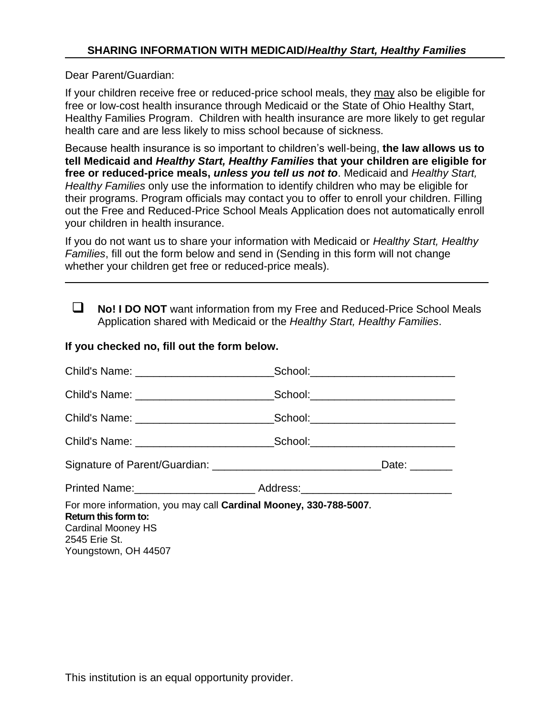Dear Parent/Guardian:

If your children receive free or reduced-price school meals, they may also be eligible for free or low-cost health insurance through Medicaid or the State of Ohio Healthy Start, Healthy Families Program. Children with health insurance are more likely to get regular health care and are less likely to miss school because of sickness.

Because health insurance is so important to children's well-being, **the law allows us to tell Medicaid and** *Healthy Start, Healthy Families* **that your children are eligible for free or reduced-price meals,** *unless you tell us not to*. Medicaid and *Healthy Start, Healthy Families* only use the information to identify children who may be eligible for their programs. Program officials may contact you to offer to enroll your children. Filling out the Free and Reduced-Price School Meals Application does not automatically enroll your children in health insurance.

If you do not want us to share your information with Medicaid or *Healthy Start, Healthy Families*, fill out the form below and send in (Sending in this form will not change whether your children get free or reduced-price meals).

 **No! I DO NOT** want information from my Free and Reduced-Price School Meals Application shared with Medicaid or the *Healthy Start, Healthy Families*.

### **If you checked no, fill out the form below.**

|                                                                                                                                                                                                                                | School:_____________________________ |               |
|--------------------------------------------------------------------------------------------------------------------------------------------------------------------------------------------------------------------------------|--------------------------------------|---------------|
|                                                                                                                                                                                                                                |                                      |               |
|                                                                                                                                                                                                                                |                                      |               |
|                                                                                                                                                                                                                                |                                      |               |
|                                                                                                                                                                                                                                |                                      | Date: _______ |
| Printed Name: Address: Address: Address: Address: Address: Address: Address: Address: Address: Address: Address: Address: Address: Address: Address: Address: Address: Address: Address: Address: Address: Address: Address: A |                                      |               |
| For more information, you may call Cardinal Mooney, 330-788-5007.<br>Return this form to:<br>Cardinal Mooney HS<br>2545 Erie St.<br>Youngstown, OH 44507                                                                       |                                      |               |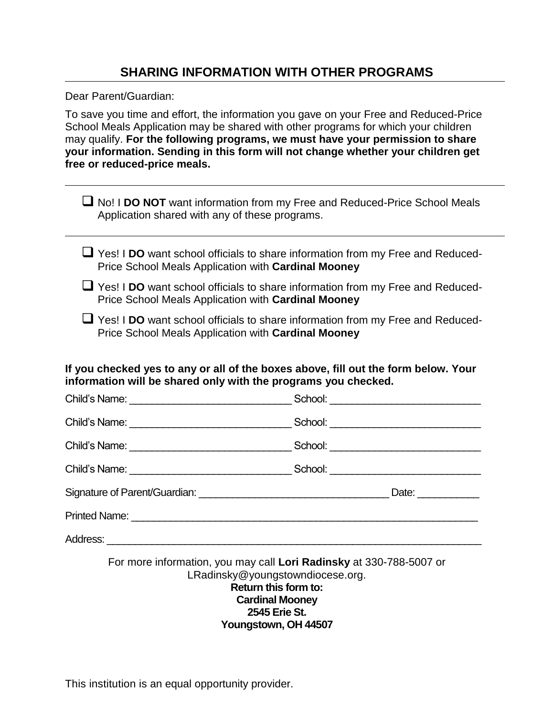## **SHARING INFORMATION WITH OTHER PROGRAMS**

Dear Parent/Guardian:

To save you time and effort, the information you gave on your Free and Reduced-Price School Meals Application may be shared with other programs for which your children may qualify. **For the following programs, we must have your permission to share your information. Sending in this form will not change whether your children get free or reduced-price meals.**

| ■ No! I DO NOT want information from my Free and Reduced-Price School Meals<br>Application shared with any of these programs.                        |  |  |  |  |  |  |
|------------------------------------------------------------------------------------------------------------------------------------------------------|--|--|--|--|--|--|
| U Yes! I DO want school officials to share information from my Free and Reduced-<br>Price School Meals Application with Cardinal Mooney              |  |  |  |  |  |  |
| U Yes! I DO want school officials to share information from my Free and Reduced-<br>Price School Meals Application with Cardinal Mooney              |  |  |  |  |  |  |
| ■ Yes! I DO want school officials to share information from my Free and Reduced-<br>Price School Meals Application with Cardinal Mooney              |  |  |  |  |  |  |
| If you checked yes to any or all of the boxes above, fill out the form below. Your<br>information will be shared only with the programs you checked. |  |  |  |  |  |  |
|                                                                                                                                                      |  |  |  |  |  |  |
|                                                                                                                                                      |  |  |  |  |  |  |
|                                                                                                                                                      |  |  |  |  |  |  |
|                                                                                                                                                      |  |  |  |  |  |  |
|                                                                                                                                                      |  |  |  |  |  |  |
|                                                                                                                                                      |  |  |  |  |  |  |
|                                                                                                                                                      |  |  |  |  |  |  |
| For more information, you may call Lori Radinsky at 330-788-5007 or<br>LRadinsky@youngstowndiocese.org.<br>Return this form to:                      |  |  |  |  |  |  |

**Cardinal Mooney 2545 Erie St. Youngstown, OH 44507**

This institution is an equal opportunity provider.